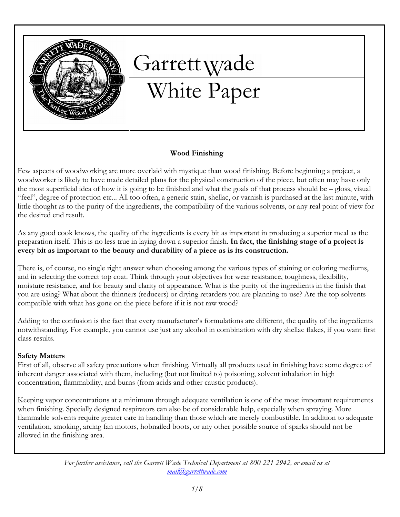

# Garrett Wade<br>White Paper

#### Wood Finishing

Few aspects of woodworking are more overlaid with mystique than wood finishing. Before beginning a project, a woodworker is likely to have made detailed plans for the physical construction of the piece, but often may have only the most superficial idea of how it is going to be finished and what the goals of that process should be – gloss, visual "feel", degree of protection etc... All too often, a generic stain, shellac, or varnish is purchased at the last minute, with little thought as to the purity of the ingredients, the compatibility of the various solvents, or any real point of view for the desired end result.

As any good cook knows, the quality of the ingredients is every bit as important in producing a superior meal as the preparation itself. This is no less true in laying down a superior finish. In fact, the finishing stage of a project is every bit as important to the beauty and durability of a piece as is its construction.

There is, of course, no single right answer when choosing among the various types of staining or coloring mediums, and in selecting the correct top coat. Think through your objectives for wear resistance, toughness, flexibility, moisture resistance, and for beauty and clarity of appearance. What is the purity of the ingredients in the finish that you are using? What about the thinners (reducers) or drying retarders you are planning to use? Are the top solvents compatible with what has gone on the piece before if it is not raw wood?

Adding to the confusion is the fact that every manufacturer's formulations are different, the quality of the ingredients notwithstanding. For example, you cannot use just any alcohol in combination with dry shellac flakes, if you want first class results.

#### Safety Matters

First of all, observe all safety precautions when finishing. Virtually all products used in finishing have some degree of inherent danger associated with them, including (but not limited to) poisoning, solvent inhalation in high concentration, flammability, and burns (from acids and other caustic products).

Keeping vapor concentrations at a minimum through adequate ventilation is one of the most important requirements when finishing. Specially designed respirators can also be of considerable help, especially when spraying. More flammable solvents require greater care in handling than those which are merely combustible. In addition to adequate ventilation, smoking, arcing fan motors, hobnailed boots, or any other possible source of sparks should not be allowed in the finishing area.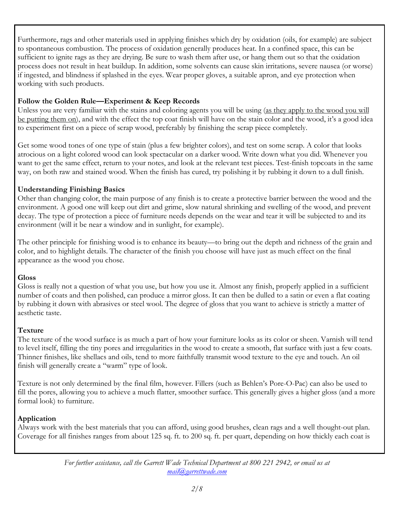Furthermore, rags and other materials used in applying finishes which dry by oxidation (oils, for example) are subject to spontaneous combustion. The process of oxidation generally produces heat. In a confined space, this can be sufficient to ignite rags as they are drying. Be sure to wash them after use, or hang them out so that the oxidation process does not result in heat buildup. In addition, some solvents can cause skin irritations, severe nausea (or worse) if ingested, and blindness if splashed in the eyes. Wear proper gloves, a suitable apron, and eye protection when working with such products.

# Follow the Golden Rule—Experiment & Keep Records

Unless you are very familiar with the stains and coloring agents you will be using (as they apply to the wood you will be putting them on), and with the effect the top coat finish will have on the stain color and the wood, it's a good idea to experiment first on a piece of scrap wood, preferably by finishing the scrap piece completely.

Get some wood tones of one type of stain (plus a few brighter colors), and test on some scrap. A color that looks atrocious on a light colored wood can look spectacular on a darker wood. Write down what you did. Whenever you want to get the same effect, return to your notes, and look at the relevant test pieces. Test-finish topcoats in the same way, on both raw and stained wood. When the finish has cured, try polishing it by rubbing it down to a dull finish.

# Understanding Finishing Basics

Other than changing color, the main purpose of any finish is to create a protective barrier between the wood and the environment. A good one will keep out dirt and grime, slow natural shrinking and swelling of the wood, and prevent decay. The type of protection a piece of furniture needs depends on the wear and tear it will be subjected to and its environment (will it be near a window and in sunlight, for example).

The other principle for finishing wood is to enhance its beauty—to bring out the depth and richness of the grain and color, and to highlight details. The character of the finish you choose will have just as much effect on the final appearance as the wood you chose.

# **Gloss**

Gloss is really not a question of what you use, but how you use it. Almost any finish, properly applied in a sufficient number of coats and then polished, can produce a mirror gloss. It can then be dulled to a satin or even a flat coating by rubbing it down with abrasives or steel wool. The degree of gloss that you want to achieve is strictly a matter of aesthetic taste.

# Texture

The texture of the wood surface is as much a part of how your furniture looks as its color or sheen. Varnish will tend to level itself, filling the tiny pores and irregularities in the wood to create a smooth, flat surface with just a few coats. Thinner finishes, like shellacs and oils, tend to more faithfully transmit wood texture to the eye and touch. An oil finish will generally create a "warm" type of look.

Texture is not only determined by the final film, however. Fillers (such as Behlen's Pore-O-Pac) can also be used to fill the pores, allowing you to achieve a much flatter, smoother surface. This generally gives a higher gloss (and a more formal look) to furniture.

# Application

Always work with the best materials that you can afford, using good brushes, clean rags and a well thought-out plan. Coverage for all finishes ranges from about 125 sq. ft. to 200 sq. ft. per quart, depending on how thickly each coat is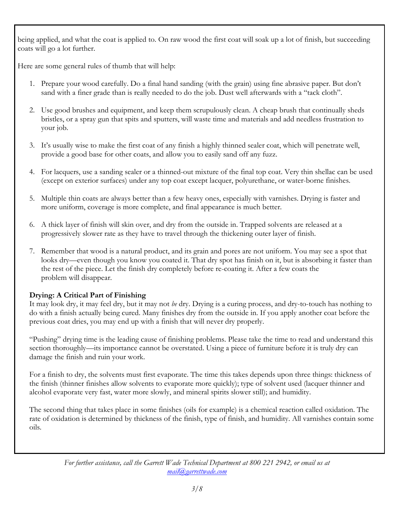being applied, and what the coat is applied to. On raw wood the first coat will soak up a lot of finish, but succeeding coats will go a lot further.

Here are some general rules of thumb that will help:

- 1. Prepare your wood carefully. Do a final hand sanding (with the grain) using fine abrasive paper. But don't sand with a finer grade than is really needed to do the job. Dust well afterwards with a "tack cloth".
- 2. Use good brushes and equipment, and keep them scrupulously clean. A cheap brush that continually sheds bristles, or a spray gun that spits and sputters, will waste time and materials and add needless frustration to your job.
- 3. It's usually wise to make the first coat of any finish a highly thinned sealer coat, which will penetrate well, provide a good base for other coats, and allow you to easily sand off any fuzz.
- 4. For lacquers, use a sanding sealer or a thinned-out mixture of the final top coat. Very thin shellac can be used (except on exterior surfaces) under any top coat except lacquer, polyurethane, or water-borne finishes.
- 5. Multiple thin coats are always better than a few heavy ones, especially with varnishes. Drying is faster and more uniform, coverage is more complete, and final appearance is much better.
- 6. A thick layer of finish will skin over, and dry from the outside in. Trapped solvents are released at a progressively slower rate as they have to travel through the thickening outer layer of finish.
- 7. Remember that wood is a natural product, and its grain and pores are not uniform. You may see a spot that looks dry—even though you know you coated it. That dry spot has finish on it, but is absorbing it faster than the rest of the piece. Let the finish dry completely before re-coating it. After a few coats the problem will disappear.

# Drying: A Critical Part of Finishing

It may look dry, it may feel dry, but it may not be dry. Drying is a curing process, and dry-to-touch has nothing to do with a finish actually being cured. Many finishes dry from the outside in. If you apply another coat before the previous coat dries, you may end up with a finish that will never dry properly.

"Pushing" drying time is the leading cause of finishing problems. Please take the time to read and understand this section thoroughly—its importance cannot be overstated. Using a piece of furniture before it is truly dry can damage the finish and ruin your work.

For a finish to dry, the solvents must first evaporate. The time this takes depends upon three things: thickness of the finish (thinner finishes allow solvents to evaporate more quickly); type of solvent used (lacquer thinner and alcohol evaporate very fast, water more slowly, and mineral spirits slower still); and humidity.

The second thing that takes place in some finishes (oils for example) is a chemical reaction called oxidation. The rate of oxidation is determined by thickness of the finish, type of finish, and humidity. All varnishes contain some oils.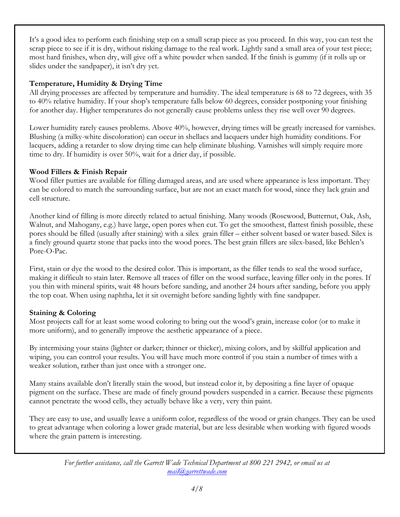It's a good idea to perform each finishing step on a small scrap piece as you proceed. In this way, you can test the scrap piece to see if it is dry, without risking damage to the real work. Lightly sand a small area of your test piece; most hard finishes, when dry, will give off a white powder when sanded. If the finish is gummy (if it rolls up or slides under the sandpaper), it isn't dry yet.

#### Temperature, Humidity & Drying Time

All drying processes are affected by temperature and humidity. The ideal temperature is 68 to 72 degrees, with 35 to 40% relative humidity. If your shop's temperature falls below 60 degrees, consider postponing your finishing for another day. Higher temperatures do not generally cause problems unless they rise well over 90 degrees.

Lower humidity rarely causes problems. Above 40%, however, drying times will be greatly increased for varnishes. Blushing (a milky-white discoloration) can occur in shellacs and lacquers under high humidity conditions. For lacquers, adding a retarder to slow drying time can help eliminate blushing. Varnishes will simply require more time to dry. If humidity is over 50%, wait for a drier day, if possible.

#### Wood Fillers & Finish Repair

Wood filler putties are available for filling damaged areas, and are used where appearance is less important. They can be colored to match the surrounding surface, but are not an exact match for wood, since they lack grain and cell structure.

Another kind of filling is more directly related to actual finishing. Many woods (Rosewood, Butternut, Oak, Ash, Walnut, and Mahogany, e.g.) have large, open pores when cut. To get the smoothest, flattest finish possible, these pores should be filled (usually after staining) with a silex grain filler – either solvent based or water based. Silex is a finely ground quartz stone that packs into the wood pores. The best grain fillers are silex-based, like Behlen's Pore-O-Pac.

First, stain or dye the wood to the desired color. This is important, as the filler tends to seal the wood surface, making it difficult to stain later. Remove all traces of filler on the wood surface, leaving filler only in the pores. If you thin with mineral spirits, wait 48 hours before sanding, and another 24 hours after sanding, before you apply the top coat. When using naphtha, let it sit overnight before sanding lightly with fine sandpaper.

#### Staining & Coloring

Most projects call for at least some wood coloring to bring out the wood's grain, increase color (or to make it more uniform), and to generally improve the aesthetic appearance of a piece.

By intermixing your stains (lighter or darker; thinner or thicker), mixing colors, and by skillful application and wiping, you can control your results. You will have much more control if you stain a number of times with a weaker solution, rather than just once with a stronger one.

Many stains available don't literally stain the wood, but instead color it, by depositing a fine layer of opaque pigment on the surface. These are made of finely ground powders suspended in a carrier. Because these pigments cannot penetrate the wood cells, they actually behave like a very, very thin paint.

They are easy to use, and usually leave a uniform color, regardless of the wood or grain changes. They can be used to great advantage when coloring a lower grade material, but are less desirable when working with figured woods where the grain pattern is interesting.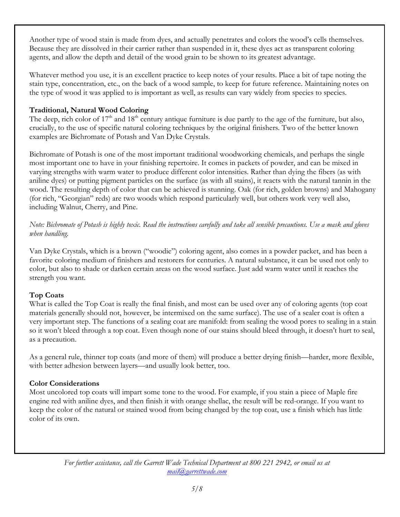Another type of wood stain is made from dyes, and actually penetrates and colors the wood's cells themselves. Because they are dissolved in their carrier rather than suspended in it, these dyes act as transparent coloring agents, and allow the depth and detail of the wood grain to be shown to its greatest advantage.

Whatever method you use, it is an excellent practice to keep notes of your results. Place a bit of tape noting the stain type, concentration, etc., on the back of a wood sample, to keep for future reference. Maintaining notes on the type of wood it was applied to is important as well, as results can vary widely from species to species.

#### Traditional, Natural Wood Coloring

The deep, rich color of  $17<sup>th</sup>$  and  $18<sup>th</sup>$  century antique furniture is due partly to the age of the furniture, but also, crucially, to the use of specific natural coloring techniques by the original finishers. Two of the better known examples are Bichromate of Potash and Van Dyke Crystals.

Bichromate of Potash is one of the most important traditional woodworking chemicals, and perhaps the single most important one to have in your finishing repertoire. It comes in packets of powder, and can be mixed in varying strengths with warm water to produce different color intensities. Rather than dying the fibers (as with aniline dyes) or putting pigment particles on the surface (as with all stains), it reacts with the natural tannin in the wood. The resulting depth of color that can be achieved is stunning. Oak (for rich, golden browns) and Mahogany (for rich, "Georgian" reds) are two woods which respond particularly well, but others work very well also, including Walnut, Cherry, and Pine.

Note: Bichromate of Potash is highly toxic. Read the instructions carefully and take all sensible precautions. Use a mask and gloves when handling.

Van Dyke Crystals, which is a brown ("woodie") coloring agent, also comes in a powder packet, and has been a favorite coloring medium of finishers and restorers for centuries. A natural substance, it can be used not only to color, but also to shade or darken certain areas on the wood surface. Just add warm water until it reaches the strength you want.

# Top Coats

What is called the Top Coat is really the final finish, and most can be used over any of coloring agents (top coat materials generally should not, however, be intermixed on the same surface). The use of a sealer coat is often a very important step. The functions of a sealing coat are manifold: from sealing the wood pores to sealing in a stain so it won't bleed through a top coat. Even though none of our stains should bleed through, it doesn't hurt to seal, as a precaution.

As a general rule, thinner top coats (and more of them) will produce a better drying finish—harder, more flexible, with better adhesion between layers—and usually look better, too.

# Color Considerations

Most uncolored top coats will impart some tone to the wood. For example, if you stain a piece of Maple fire engine red with aniline dyes, and then finish it with orange shellac, the result will be red-orange. If you want to keep the color of the natural or stained wood from being changed by the top coat, use a finish which has little color of its own.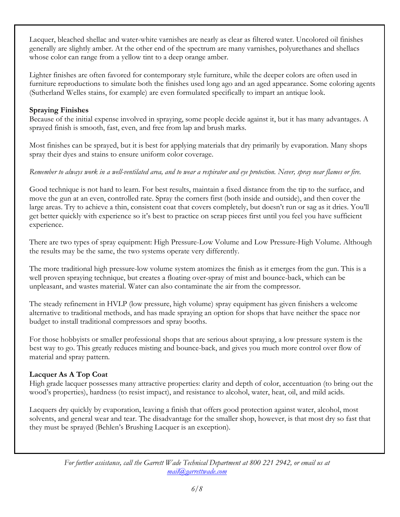Lacquer, bleached shellac and water-white varnishes are nearly as clear as filtered water. Uncolored oil finishes generally are slightly amber. At the other end of the spectrum are many varnishes, polyurethanes and shellacs whose color can range from a yellow tint to a deep orange amber.

Lighter finishes are often favored for contemporary style furniture, while the deeper colors are often used in furniture reproductions to simulate both the finishes used long ago and an aged appearance. Some coloring agents (Sutherland Welles stains, for example) are even formulated specifically to impart an antique look.

### Spraying Finishes

Because of the initial expense involved in spraying, some people decide against it, but it has many advantages. A sprayed finish is smooth, fast, even, and free from lap and brush marks.

Most finishes can be sprayed, but it is best for applying materials that dry primarily by evaporation. Many shops spray their dyes and stains to ensure uniform color coverage.

# Remember to always work in a well-ventilated area, and to wear a respirator and eye protection. Never, spray near flames or fire.

Good technique is not hard to learn. For best results, maintain a fixed distance from the tip to the surface, and move the gun at an even, controlled rate. Spray the corners first (both inside and outside), and then cover the large areas. Try to achieve a thin, consistent coat that covers completely, but doesn't run or sag as it dries. You'll get better quickly with experience so it's best to practice on scrap pieces first until you feel you have sufficient experience.

There are two types of spray equipment: High Pressure-Low Volume and Low Pressure-High Volume. Although the results may be the same, the two systems operate very differently.

The more traditional high pressure-low volume system atomizes the finish as it emerges from the gun. This is a well proven spraying technique, but creates a floating over-spray of mist and bounce-back, which can be unpleasant, and wastes material. Water can also contaminate the air from the compressor.

The steady refinement in HVLP (low pressure, high volume) spray equipment has given finishers a welcome alternative to traditional methods, and has made spraying an option for shops that have neither the space nor budget to install traditional compressors and spray booths.

For those hobbyists or smaller professional shops that are serious about spraying, a low pressure system is the best way to go. This greatly reduces misting and bounce-back, and gives you much more control over flow of material and spray pattern.

# Lacquer As A Top Coat

High grade lacquer possesses many attractive properties: clarity and depth of color, accentuation (to bring out the wood's properties), hardness (to resist impact), and resistance to alcohol, water, heat, oil, and mild acids.

Lacquers dry quickly by evaporation, leaving a finish that offers good protection against water, alcohol, most solvents, and general wear and tear. The disadvantage for the smaller shop, however, is that most dry so fast that they must be sprayed (Behlen's Brushing Lacquer is an exception).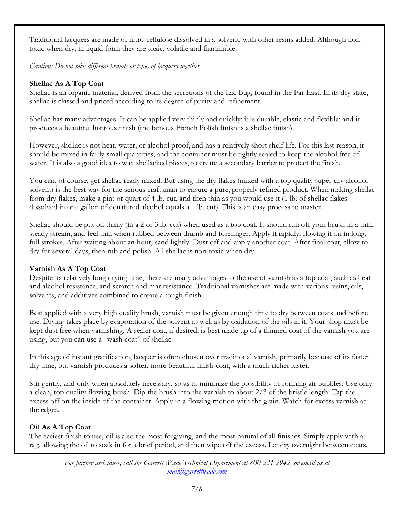Traditional lacquers are made of nitro-cellulose dissolved in a solvent, with other resins added. Although nontoxic when dry, in liquid form they are toxic, volatile and flammable.

Caution: Do not mix different brands or types of lacquers together.

# Shellac As A Top Coat

Shellac is an organic material, derived from the secretions of the Lac Bug, found in the Far East. In its dry state, shellac is classed and priced according to its degree of purity and refinement.

Shellac has many advantages. It can be applied very thinly and quickly; it is durable, elastic and flexible; and it produces a beautiful lustrous finish (the famous French Polish finish is a shellac finish).

However, shellac is not heat, water, or alcohol proof, and has a relatively short shelf life. For this last reason, it should be mixed in fairly small quantities, and the container must be tightly sealed to keep the alcohol free of water. It is also a good idea to wax shellacked pieces, to create a secondary barrier to protect the finish.

You can, of course, get shellac ready mixed. But using the dry flakes (mixed with a top quality super-dry alcohol solvent) is the best way for the serious craftsman to ensure a pure, properly refined product. When making shellac from dry flakes, make a pint or quart of 4 lb. cut, and then thin as you would use it (1 lb. of shellac flakes dissolved in one gallon of denatured alcohol equals a 1 lb. cut). This is an easy process to master.

Shellac should be put on thinly (in a 2 or 3 lb. cut) when used as a top coat. It should run off your brush in a thin, steady stream, and feel thin when rubbed between thumb and forefinger. Apply it rapidly, flowing it on in long, full strokes. After waiting about an hour, sand lightly. Dust off and apply another coat. After final coat, allow to dry for several days, then rub and polish. All shellac is non-toxic when dry.

# Varnish As A Top Coat

Despite its relatively long drying time, there are many advantages to the use of varnish as a top coat, such as heat and alcohol resistance, and scratch and mar resistance. Traditional varnishes are made with various resins, oils, solvents, and additives combined to create a tough finish.

Best applied with a very high quality brush, varnish must be given enough time to dry between coats and before use. Drying takes place by evaporation of the solvent as well as by oxidation of the oils in it. Your shop must be kept dust free when varnishing. A sealer coat, if desired, is best made up of a thinned coat of the varnish you are using, but you can use a "wash coat" of shellac.

In this age of instant gratification, lacquer is often chosen over traditional varnish, primarily because of its faster dry time, but varnish produces a softer, more beautiful finish coat, with a much richer luster.

Stir gently, and only when absolutely necessary, so as to minimize the possibility of forming air bubbles. Use only a clean, top quality flowing brush. Dip the brush into the varnish to about 2/3 of the bristle length. Tap the excess off on the inside of the container. Apply in a flowing motion with the grain. Watch for excess varnish at the edges.

# Oil As A Top Coat

The easiest finish to use, oil is also the most forgiving, and the most natural of all finishes. Simply apply with a rag, allowing the oil to soak in for a brief period, and then wipe off the excess. Let dry overnight between coats.